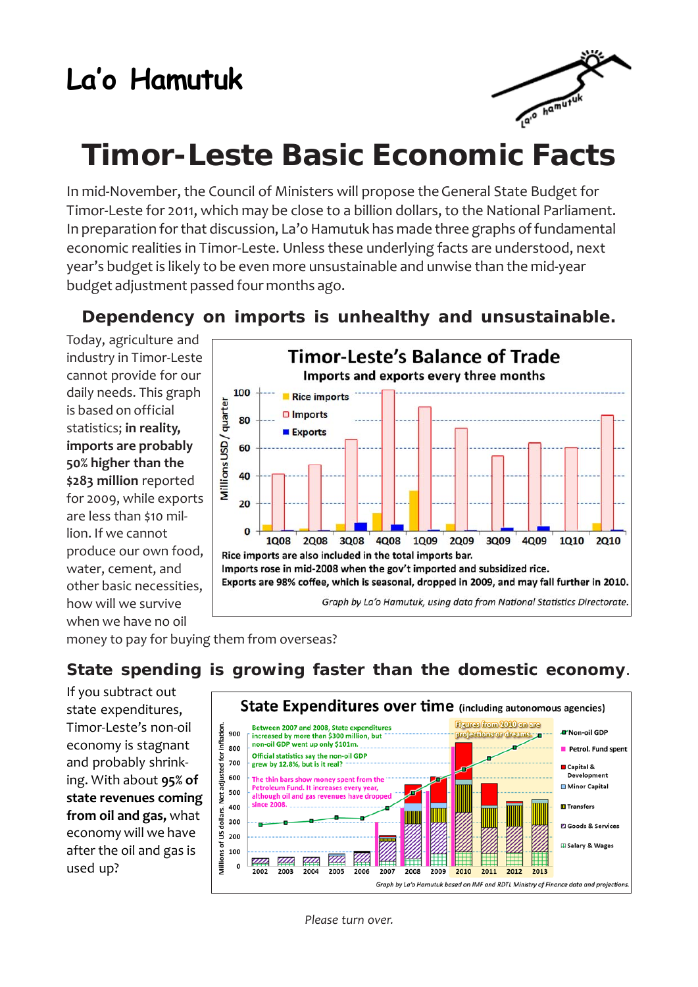## **La'o Hamutuk**



## **Timor-Leste Basic Economic Facts**

In mid-November, the Council of Ministers will propose the General State Budget for Timor-Leste for 2011, which may be close to a billion dollars, to the National Parliament. In preparation for that discussion, La'o Hamutuk has made three graphs of fundamental economic realities in Timor-Leste. Unless these underlying facts are understood, next year's budget is likely to be even more unsustainable and unwise than the mid-year budget adjustment passed four months ago.

**Dependency on imports is unhealthy and unsustainable.**

Today, agriculture and industry in Timor-Leste cannot provide for our daily needs. This graph is based on official statistics; **in reality, imports are probably 50% higher than the \$283 million** reported for 2009, while exports are less than \$10 million. If we cannot produce our own food, water, cement, and other basic necessities, how will we survive when we have no oil



money to pay for buying them from overseas?

## **State spending is growing faster than the domestic economy**.

If you subtract out state expenditures, Timor-Leste's non-oil economy is stagnant and probably shrinking. With about **95% of state revenues coming from oil and gas,** what economy will we have after the oil and gas is used up?